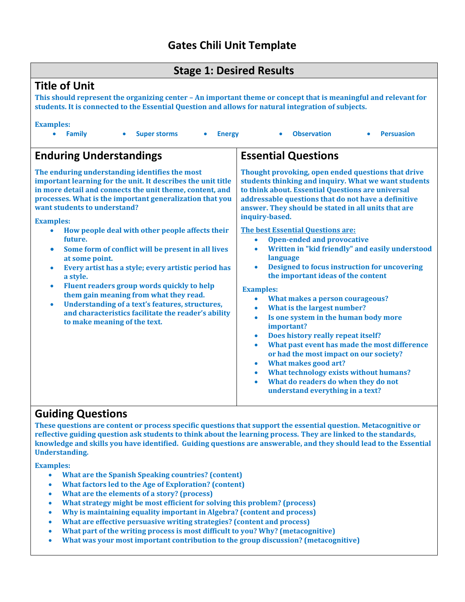# **Gates Chili Unit Template**

#### **Stage 1: Desired Results**

## **Title of Unit**

**This should represent the organizing center – An important theme or concept that is meaningful and relevant for students. It is connected to the Essential Question and allows for natural integration of subjects.** 

#### **Examples:**

 **Family Super storms Energy Observation Persuasion Enduring Understandings The enduring understanding identifies the most important learning for the unit. It describes the unit title in more detail and connects the unit theme, content, and processes. What is the important generalization that you want students to understand? Examples: How people deal with other people affects their future. Some form of conflict will be present in all lives at some point. Every artist has a style; every artistic period has a style. Fluent readers group words quickly to help them gain meaning from what they read. Understanding of a text's features, structures, and characteristics facilitate the reader's ability to make meaning of the text. Essential Questions Thought provoking, open ended questions that drive students thinking and inquiry. What we want students to think about. Essential Questions are universal addressable questions that do not have a definitive answer. They should be stated in all units that are inquiry-based. The best Essential Questions are: Open-ended and provocative Written in "kid friendly" and easily understood language Designed to focus instruction for uncovering the important ideas of the content Examples: What makes a person courageous? What is the largest number? Is one system in the human body more important? Does history really repeat itself? What past event has made the most difference or had the most impact on our society? What makes good art? What technology exists without humans? What do readers do when they do not understand everything in a text?**

#### **Guiding Questions**

**These questions are content or process specific questions that support the essential question. Metacognitive or reflective guiding question ask students to think about the learning process. They are linked to the standards, knowledge and skills you have identified. Guiding questions are answerable, and they should lead to the Essential Understanding.** 

**Examples:**

- **What are the Spanish Speaking countries? (content)**
- **What factors led to the Age of Exploration? (content)**
- **What are the elements of a story? (process)**
- **What strategy might be most efficient for solving this problem? (process)**
- **Why is maintaining equality important in Algebra? (content and process)**
- **What are effective persuasive writing strategies? (content and process)**
- **What part of the writing process is most difficult to you? Why? (metacognitive)**
- **What was your most important contribution to the group discussion? (metacognitive)**